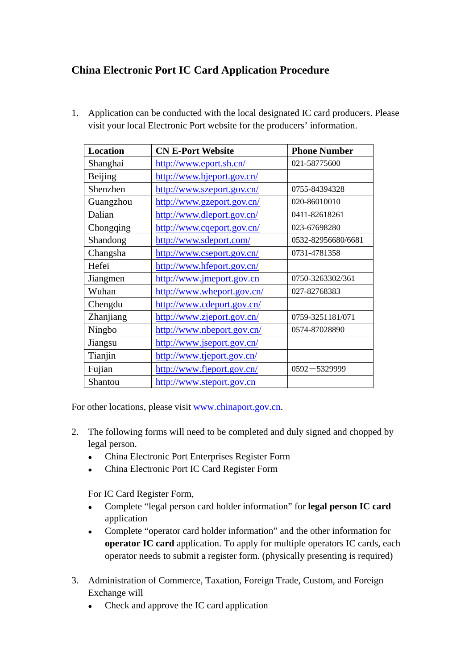## **China Electronic Port IC Card Application Procedure**

1. Application can be conducted with the local designated IC card producers. Please visit your local Electronic Port website for the producers' information.

| <b>Location</b> | <b>CN E-Port Website</b>   | <b>Phone Number</b> |
|-----------------|----------------------------|---------------------|
| Shanghai        | http://www.eport.sh.cn/    | 021-58775600        |
| Beijing         | http://www.bjeport.gov.cn/ |                     |
| Shenzhen        | http://www.szeport.gov.cn/ | 0755-84394328       |
| Guangzhou       | http://www.gzeport.gov.cn/ | 020-86010010        |
| Dalian          | http://www.dleport.gov.cn/ | 0411-82618261       |
| Chongqing       | http://www.cqeport.gov.cn/ | 023-67698280        |
| Shandong        | http://www.sdeport.com/    | 0532-82956680/6681  |
| Changsha        | http://www.cseport.gov.cn/ | 0731-4781358        |
| Hefei           | http://www.hfeport.gov.cn/ |                     |
| Jiangmen        | http://www.jmeport.gov.cn  | 0750-3263302/361    |
| Wuhan           | http://www.wheport.gov.cn/ | 027-82768383        |
| Chengdu         | http://www.cdeport.gov.cn/ |                     |
| Zhanjiang       | http://www.zjeport.gov.cn/ | 0759-3251181/071    |
| Ningbo          | http://www.nbeport.gov.cn/ | 0574-87028890       |
| Jiangsu         | http://www.jseport.gov.cn/ |                     |
| Tianjin         | http://www.tjeport.gov.cn/ |                     |
| Fujian          | http://www.fjeport.gov.cn/ | $0592 - 5329999$    |
| Shantou         | http://www.steport.gov.cn  |                     |

For other locations, please visit [www.chinaport.gov.cn.](www.chinaport.gov.cn)

- 2. The following forms will need to be completed and duly signed and chopped by legal person.
	- China Electronic Port Enterprises Register Form
	- China Electronic Port IC Card Register Form

For IC Card Register Form,

- Complete "legal person card holder information" for **legal person IC card** application
- Complete "operator card holder information" and the other information for **operator IC card** application. To apply for multiple operators IC cards, each operator needs to submit a register form. (physically presenting is required)
- 3. Administration of Commerce, Taxation, Foreign Trade, Custom, and Foreign Exchange will
	- $\bullet$  Check and approve the IC card application